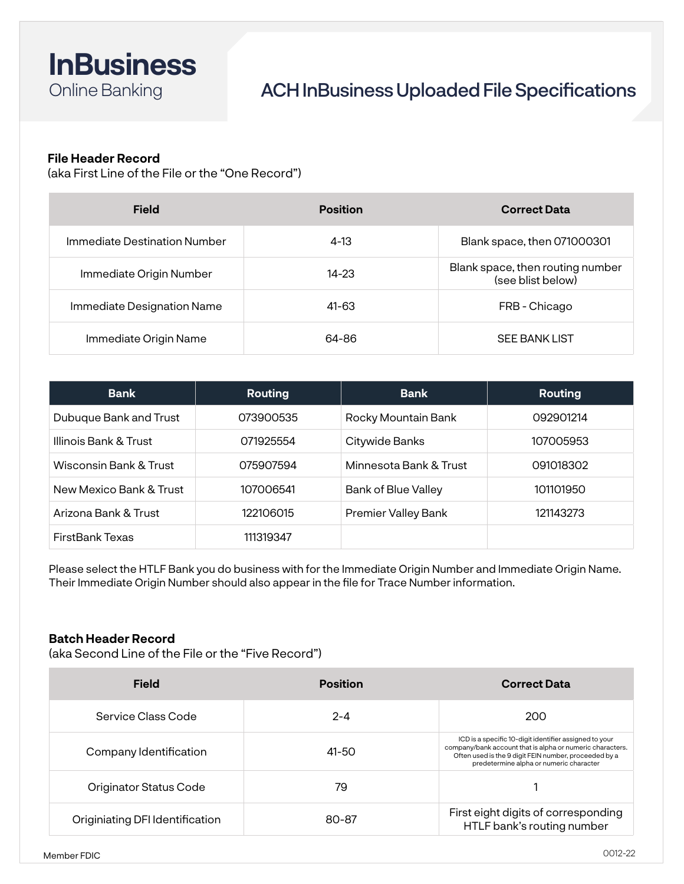

# ACH InBusiness Uploaded File Specifications

# **File Header Record**

(aka First Line of the File or the "One Record")

| <b>Field</b>                 | <b>Position</b> | <b>Correct Data</b>                                   |
|------------------------------|-----------------|-------------------------------------------------------|
| Immediate Destination Number | $4-13$          | Blank space, then 071000301                           |
| Immediate Origin Number      | $14 - 23$       | Blank space, then routing number<br>(see blist below) |
| Immediate Designation Name   | $41 - 63$       | FRB - Chicago                                         |
| Immediate Origin Name        | 64-86           | <b>SEE BANK LIST</b>                                  |

| <b>Bank</b>             | <b>Routing</b> | <b>Bank</b>            | <b>Routing</b> |
|-------------------------|----------------|------------------------|----------------|
| Dubuque Bank and Trust  | 073900535      | Rocky Mountain Bank    | 092901214      |
| Illinois Bank & Trust   | 071925554      | Citywide Banks         | 107005953      |
| Wisconsin Bank & Trust  | 075907594      | Minnesota Bank & Trust | 091018302      |
| New Mexico Bank & Trust | 107006541      | Bank of Blue Valley    | 101101950      |
| Arizona Bank & Trust    | 122106015      | Premier Valley Bank    | 121143273      |
| <b>FirstBank Texas</b>  | 111319347      |                        |                |

Please select the HTLF Bank you do business with for the Immediate Origin Number and Immediate Origin Name. Their Immediate Origin Number should also appear in the file for Trace Number information.

#### **Batch Header Record**

(aka Second Line of the File or the "Five Record")

| <b>Field</b>                    | <b>Position</b> | <b>Correct Data</b>                                                                                                                                                                                                     |
|---------------------------------|-----------------|-------------------------------------------------------------------------------------------------------------------------------------------------------------------------------------------------------------------------|
| Service Class Code              | $2 - 4$         | 200                                                                                                                                                                                                                     |
| Company Identification          | 41-50           | ICD is a specific 10-digit identifier assigned to your<br>company/bank account that is alpha or numeric characters.<br>Often used is the 9 digit FEIN number, proceeded by a<br>predetermine alpha or numeric character |
| Originator Status Code          | 79              |                                                                                                                                                                                                                         |
| Originiating DFI Identification | 80-87           | First eight digits of corresponding<br>HTLF bank's routing number                                                                                                                                                       |